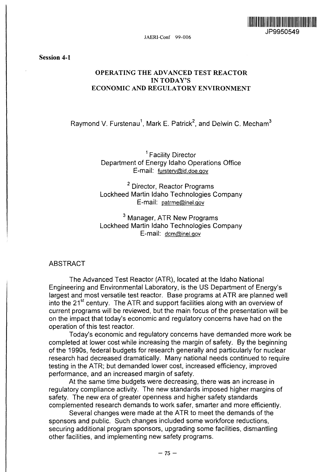

JAERI-Conf 99-006

Session 4-1

# OPERATING THE ADVANCED TEST REACTOR IN TODAY'S ECONOMIC AND REGULATORY ENVIRONMENT

Raymond V. Furstenau<sup>1</sup>, Mark E. Patrick<sup>2</sup>, and Delwin C. Mecham<sup>3</sup>

<sup>1</sup> Facility Director Department of Energy Idaho Operations Office E-mail: fursterv@id,doe.gov

<sup>2</sup> Director, Reactor Programs Lockheed Martin Idaho Technologies Company E-mail: patrme@inel.gov

 $^3$  Manager, ATR New Programs Lockheed Martin Idaho Technologies Company E-mail: dcm@inel.gov

### ABSTRACT

The Advanced Test Reactor (ATR), located at the Idaho National Engineering and Environmental Laboratory, is the US Department of Energy's largest and most versatile test reactor. Base programs at ATR are planned well into the 21<sup>st</sup> century. The ATR and support facilities along with an overview of current programs will be reviewed, but the main focus of the presentation will be on the impact that today's economic and regulatory concerns have had on the operation of this test reactor.

Today's economic and regulatory concerns have demanded more work be completed at lower cost while increasing the margin of safety. By the beginning of the 1990s, federal budgets for research generally and particularly for nuclear research had decreased dramatically. Many national needs continued to require testing in the ATR; but demanded lower cost, increased efficiency, improved performance, and an increased margin of safety.

At the same time budgets were decreasing, there was an increase in regulatory compliance activity. The new standards imposed higher margins of safety. The new era of greater openness and higher safety standards complemented research demands to work safer, smarter and more efficiently.

Several changes were made at the ATR to meet the demands of the sponsors and public. Such changes included some workforce reductions, securing additional program sponsors, upgrading some facilities, dismantling other facilities, and implementing new safety programs.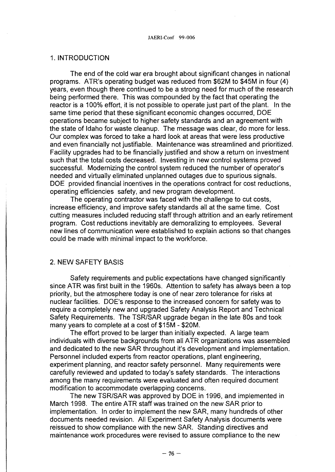#### 1. INTRODUCTION

The end of the cold war era brought about significant changes in national programs. ATR's operating budget was reduced from \$62M to \$45M in four (4) years, even though there continued to be a strong need for much of the research being performed there. This was compounded by the fact that operating the reactor is a 100% effort, it is not possible to operate just part of the plant. In the same time period that these significant economic changes occurred, DOE operations became subject to higher safety standards and an agreement with the state of Idaho for waste cleanup. The message was clear, do more for less. Our complex was forced to take a hard look at areas that were less productive and even financially not justifiable. Maintenance was streamlined and prioritized. Facility upgrades had to be financially justified and show a return on investment such that the total costs decreased. Investing in new control systems proved successful. Modernizing the control system reduced the number of operator's needed and virtually eliminated unplanned outages due to spurious signals. DOE provided financial incentives in the operations contract for cost reductions, operating efficiencies safety, and new program development.

The operating contractor was faced with the challenge to cut costs, increase efficiency, and improve safety standards all at the same time. Cost cutting measures included reducing staff through attrition and an early retirement program. Cost reductions inevitably are demoralizing to employees. Several new lines of communication were established to explain actions so that changes could be made with minimal impact to the workforce.

### 2. NEW SAFETY BASIS

Safety requirements and public expectations have changed significantly since ATR was first built in the 1960s. Attention to safety has always been a top priority, but the atmosphere today is one of near zero tolerance for risks at nuclear facilities. DOE's response to the increased concern for safety was to require a completely new and upgraded Safety Analysis Report and Technical Safety Requirements. The TSR/SAR upgrade began in the late 80s and took many years to complete at a cost of \$15M - \$20M.

The effort proved to be larger than initially expected. A large team individuals with diverse backgrounds from all ATR organizations was assembled and dedicated to the new SAR throughout it's development and implementation. Personnel included experts from reactor operations, plant engineering, experiment planning, and reactor safety personnel. Many requirements were carefully reviewed and updated to today's safety standards. The interactions among the many requirements were evaluated and often required document modification to accommodate overlapping concerns.

The new TSR/SAR was approved by DOE in 1996, and implemented in March 1998. The entire ATR staff was trained on the new SAR prior to implementation. In order to implement the new SAR, many hundreds of other documents needed revision. All Experiment Safety Analysis documents were reissued to show compliance with the new SAR. Standing directives and maintenance work procedures were revised to assure compliance to the new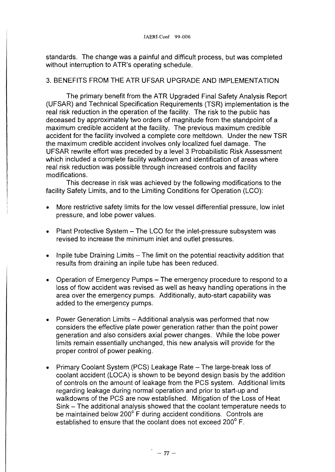standards. The change was a painful and difficult process, but was completed without interruption to ATR's operating schedule.

# 3. BENEFITS FROM THE ATR UFSAR UPGRADE AND IMPLEMENTATION

The primary benefit from the ATR Upgraded Final Safety Analysis Report (UFSAR) and Technical Specification Requirements (TSR) implementation is the real risk reduction in the operation of the facility. The risk to the public has deceased by approximately two orders of magnitude from the standpoint of a maximum credible accident at the facility. The previous maximum credible accident for the facility involved a complete core meltdown. Under the new TSR the maximum credible accident involves only localized fuel damage. The UFSAR rewrite effort was preceded by a level 3 Probabilistic Risk Assessment which included a complete facility walkdown and identification of areas where real risk reduction was possible through increased controls and facility modifications.

This decrease in risk was achieved by the following modifications to the facility Safety Limits, and to the Limiting Conditions for Operation (LCO):

- More restrictive safety limits for the low vessel differential pressure, low inlet pressure, and lobe power values.
- Plant Protective System The LCO for the inlet-pressure subsystem was revised to increase the minimum inlet and outlet pressures.
- Inpile tube Draining Limits  $-$  The limit on the potential reactivity addition that results from draining an inpile tube has been reduced.
- Operation of Emergency Pumps The emergency procedure to respond to a loss of flow accident was revised as well as heavy handling operations in the area over the emergency pumps. Additionally, auto-start capability was added to the emergency pumps.
- Power Generation Limits Additional analysis was performed that now considers the effective plate power generation rather than the point power generation and also considers axial power changes. While the lobe power limits remain essentially unchanged, this new analysis will provide for the proper control of power peaking.
- Primary Coolant System (PCS) Leakage Rate The large-break loss of coolant accident (LOCA) is shown to be beyond design basis by the addition of controls on the amount of leakage from the PCS system. Additional limits regarding leakage during normal operation and prior to start-up and walkdowns of the PCS are now established. Mitigation of the Loss of Heat Sink – The additional analysis showed that the coolant temperature needs to be maintained below 200° F during accident conditions. Controls are established to ensure that the coolant does not exceed 200° F.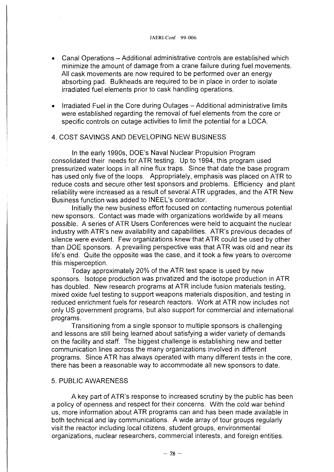- Canal Operations Additional administrative controls are established which minimize the amount of damage from a crane failure during fuel movements. All cask movements are now required to be performed over an energy absorbing pad. Bulkheads are required to be in place in order to isolate irradiated fuel elements prior to cask handling operations.
- Irradiated Fuel in the Core during Outages Additional administrative limits were established regarding the removal of fuel elements from the core or specific controls on outage activities to limit the potential for a LOCA.

### 4. COST SAVINGS AND DEVELOPING NEW BUSINESS

In the early 1990s, DOE's Naval Nuclear Propulsion Program consolidated their needs for ATR testing. Up to 1994, this program used pressurized water loops in all nine flux traps. Since that date the base program has used only five of the loops. Appropriately, emphasis was placed on ATR to reduce costs and secure other test sponsors and problems. Efficiency and plant reliability were increased as a result of several ATR upgrades, and the ATR New Business function was added to INEEL's contractor.

Initially the new business effort focused on contacting numerous potential new sponsors. Contact was made with organizations worldwide by all means possible. A series of ATR Users Conferences were held to acquaint the nuclear industry with ATR's new availability and capabilities. ATR's previous decades of silence were evident. Few organizations knew that ATR could be used by other than DOE sponsors. A prevailing perspective was that ATR was old and near its life's end. Quite the opposite was the case, and it took a few years to overcome this misperception.

Today approximately 20% of the ATR test space is used by new sponsors. Isotope production was privatized and the isotope production in ATR has doubled. New research programs at ATR include fusion materials testing, mixed oxide fuel testing to support weapons materials disposition, and testing in reduced enrichment fuels for research reactors. Work at ATR now includes not only US government programs, but also support for commercial and international programs.

Transitioning from a single sponsor to multiple sponsors is challenging and lessons are still being learned about satisfying a wider variety of demands on the facility and staff. The biggest challenge is establishing new and better communication lines across the many organizations involved in different programs. Since ATR has always operated with many different tests in the core, there has been a reasonable way to accommodate all new sponsors to date.

### 5. PUBLIC AWARENESS

A key part of ATR's response to increased scrutiny by the public has been a policy of openness and respect for their concerns. With the cold war behind us, more information about ATR programs can and has been made available in both technical and lay communications. A wide array of tour groups regularly visit the reactor including local citizens, student groups, environmental organizations, nuclear researchers, commercial interests, and foreign entities.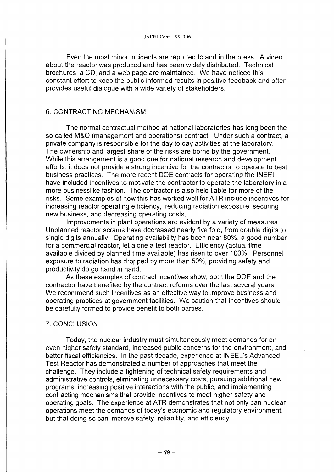Even the most minor incidents are reported to and in the press. A video about the reactor was produced and has been widely distributed. Technical brochures, a CD, and a web page are maintained. We have noticed this constant effort to keep the public informed results in positive feedback and often provides useful dialogue with a wide variety of stakeholders.

### 6. CONTRACTING MECHANISM

The normal contractual method at national laboratories has long been the so called M&O (management and operations) contract. Under such a contract, a private company is responsible for the day to day activities at the laboratory. The ownership and largest share of the risks are borne by the government. While this arrangement is a good one for national research and development efforts, it does not provide a strong incentive for the contractor to operate to best business practices. The more recent DOE contracts for operating the INEEL have included incentives to motivate the contractor to operate the laboratory in a more businesslike fashion. The contractor is also held liable for more of the risks. Some examples of how this has worked well for ATR include incentives for increasing reactor operating efficiency, reducing radiation exposure, securing new business, and decreasing operating costs.

Improvements in plant operations are evident by a variety of measures. Unplanned reactor scrams have decreased nearly five fold, from double digits to single digits annually. Operating availability has been near 80%, a good number for a commercial reactor, let alone a test reactor. Efficiency (actual time available divided by planned time available) has risen to over 100%. Personnel exposure to radiation has dropped by more than 50%, providing safety and productivity do go hand in hand.

As these examples of contract incentives show, both the DOE and the contractor have benefited by the contract reforms over the last several years. We recommend such incentives as an effective way to improve business and operating practices at government facilities. We caution that incentives should be carefully formed to provide benefit to both parties.

#### 7. CONCLUSION

Today, the nuclear industry must simultaneously meet demands for an even higher safety standard, increased public concerns for the environment, and better fiscal efficiencies. In the past decade, experience at INEEL's Advanced Test Reactor has demonstrated a number of approaches that meet the challenge. They include a tightening of technical safety requirements and administrative controls, eliminating unnecessary costs, pursuing additional new programs, increasing positive interactions with the public, and implementing contracting mechanisms that provide incentives to meet higher safety and operating goals. The experience at ATR demonstrates that not only can nuclear operations meet the demands of today's economic and regulatory environment, but that doing so can improve safety, reliability, and efficiency.